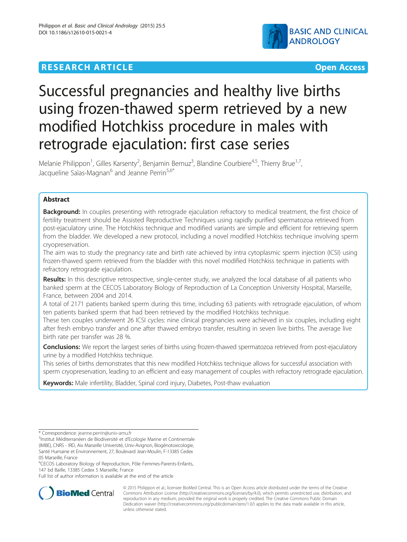# **RESEARCH ARTICLE Example 2014 CONSUMING A RESEARCH ARTICLE**



# Successful pregnancies and healthy live births using frozen-thawed sperm retrieved by a new modified Hotchkiss procedure in males with retrograde ejaculation: first case series

Melanie Philippon<sup>1</sup>, Gilles Karsenty<sup>2</sup>, Benjamin Bernuz<sup>3</sup>, Blandine Courbiere<sup>4,5</sup>, Thierry Brue<sup>1,7</sup>, Jacqueline Saïas-Magnan<sup>6</sup> and Jeanne Perrin<sup>5,6\*</sup>

# Abstract

Background: In couples presenting with retrograde ejaculation refractory to medical treatment, the first choice of fertility treatment should be Assisted Reproductive Techniques using rapidly purified spermatozoa retrieved from post-ejaculatory urine. The Hotchkiss technique and modified variants are simple and efficient for retrieving sperm from the bladder. We developed a new protocol, including a novel modified Hotchkiss technique involving sperm cryopreservation.

The aim was to study the pregnancy rate and birth rate achieved by intra cytoplasmic sperm injection (ICSI) using frozen-thawed sperm retrieved from the bladder with this novel modified Hotchkiss technique in patients with refractory retrograde ejaculation.

Results: In this descriptive retrospective, single-center study, we analyzed the local database of all patients who banked sperm at the CECOS Laboratory Biology of Reproduction of La Conception University Hospital, Marseille, France, between 2004 and 2014.

A total of 2171 patients banked sperm during this time, including 63 patients with retrograde ejaculation, of whom ten patients banked sperm that had been retrieved by the modified Hotchkiss technique.

These ten couples underwent 26 ICSI cycles: nine clinical pregnancies were achieved in six couples, including eight after fresh embryo transfer and one after thawed embryo transfer, resulting in seven live births. The average live birth rate per transfer was 28 %.

**Conclusions:** We report the largest series of births using frozen-thawed spermatozoa retrieved from post-ejaculatory urine by a modified Hotchkiss technique.

This series of births demonstrates that this new modified Hotchkiss technique allows for successful association with sperm cryopreservation, leading to an efficient and easy management of couples with refractory retrograde ejaculation.

Keywords: Male infertility, Bladder, Spinal cord injury, Diabetes, Post-thaw evaluation

Full list of author information is available at the end of the article



© 2015 Philippon et al.; licensee BioMed Central. This is an Open Access article distributed under the terms of the Creative Commons Attribution License [\(http://creativecommons.org/licenses/by/4.0\)](http://creativecommons.org/licenses/by/4.0), which permits unrestricted use, distribution, and reproduction in any medium, provided the original work is properly credited. The Creative Commons Public Domain Dedication waiver [\(http://creativecommons.org/publicdomain/zero/1.0/](http://creativecommons.org/publicdomain/zero/1.0/)) applies to the data made available in this article, unless otherwise stated.

<sup>\*</sup> Correspondence: [jeanne.perrin@univ-amu.fr](mailto:jeanne.perrin@univ-amu.fr) <sup>5</sup>

<sup>&</sup>lt;sup>5</sup>Institut Méditerranéen de Biodiversité et d'Ecologie Marine et Continentale (IMBE), CNRS - IRD, Aix Marseille Université, Univ-Avignon, Biogénotoxicologie, Santé Humaine et Environnement, 27, Boulevard Jean-Moulin, F-13385 Cedex 05 Marseille, France

<sup>&</sup>lt;sup>6</sup>CECOS Laboratory Biology of Reproduction, Pôle Femmes-Parents-Enfants, 147 bd Baille, 13385 Cedex 5 Marseille, France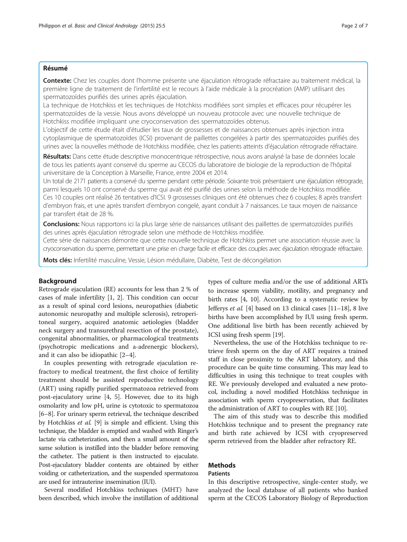# Résumé

Contexte: Chez les couples dont l'homme présente une éjaculation rétrograde réfractaire au traitement médical, la première ligne de traitement de l'infertilité est le recours à l'aide médicale à la procréation (AMP) utilisant des spermatozoïdes purifiés des urines après éjaculation.

La technique de Hotchkiss et les techniques de Hotchkiss modifiées sont simples et efficaces pour récupérer les spermatozoïdes de la vessie. Nous avons développé un nouveau protocole avec une nouvelle technique de Hotchkiss modifiée impliquant une cryoconservation des spermatozoïdes obtenus.

L'objectif de cette étude était d'étudier les taux de grossesses et de naissances obtenues après injection intra cytoplasmique de spermatozoïdes (ICSI) provenant de paillettes congelées à partir des spermatozoïdes purifiés des urines avec la nouvelles méthode de Hotchkiss modifiée, chez les patients atteints d'éjaculation rétrograde réfractaire.

Résultats: Dans cette étude descriptive monocentrique rétrospective, nous avons analysé la base de données locale de tous les patients ayant conservé du sperme au CECOS du laboratoire de biologie de la reproduction de l'hôpital universitaire de la Conception à Marseille, France, entre 2004 et 2014.

Un total de 2171 patients a conservé du sperme pendant cette période. Soixante trois présentaient une éjaculation rétrograde, parmi lesquels 10 ont conservé du sperme qui avait été purifié des urines selon la méthode de Hotchkiss modifiée. Ces 10 couples ont réalisé 26 tentatives d'ICSI. 9 grossesses cliniques ont été obtenues chez 6 couples; 8 après transfert d'embryon frais, et une après transfert d'embryon congelé, ayant conduit à 7 naissances. Le taux moyen de naissance par transfert était de 28 %.

Conclusions: Nous rapportons ici la plus large série de naissances utilisant des paillettes de spermatozoïdes purifiés des urines après éjaculation rétrograde selon une méthode de Hotchkiss modifiée.

Cette série de naissances démontre que cette nouvelle technique de Hotchkiss permet une association réussie avec la cryoconservation du sperme, permettant une prise en charge facile et efficace des couples avec éjaculation rétrograde réfractaire.

Mots clés: Infertilité masculine, Vessie, Lésion médullaire, Diabète, Test de décongélation

## Background

Retrograde ejaculation (RE) accounts for less than 2 % of cases of male infertility [\[1](#page-5-0), [2](#page-5-0)]. This condition can occur as a result of spinal cord lesions, neuropathies (diabetic autonomic neuropathy and multiple sclerosis), retroperitoneal surgery, acquired anatomic aetiologies (bladder neck surgery and transurethral resection of the prostate), congenital abnormalities, or pharmacological treatments (psychotropic medications and a-adrenergic blockers), and it can also be idiopathic [\[2](#page-5-0)–[4](#page-5-0)].

In couples presenting with retrograde ejaculation refractory to medical treatment, the first choice of fertility treatment should be assisted reproductive technology (ART) using rapidly purified spermatozoa retrieved from post-ejaculatory urine [[4, 5\]](#page-5-0). However, due to its high osmolarity and low pH, urine is cytotoxic to spermatozoa [[6](#page-5-0)–[8](#page-5-0)]. For urinary sperm retrieval, the technique described by Hotchkiss et al. [\[9](#page-5-0)] is simple and efficient. Using this technique, the bladder is emptied and washed with Ringer's lactate via catheterization, and then a small amount of the same solution is instilled into the bladder before removing the catheter. The patient is then instructed to ejaculate. Post-ejaculatory bladder contents are obtained by either voiding or catheterization, and the suspended spermatozoa are used for intrauterine insemination (IUI).

Several modified Hotchkiss techniques (MHT) have been described, which involve the instillation of additional types of culture media and/or the use of additional ARTs to increase sperm viability, motility, and pregnancy and birth rates [\[4, 10](#page-5-0)]. According to a systematic review by Jefferys et al. [[4\]](#page-5-0) based on 13 clinical cases  $[11-18]$  $[11-18]$  $[11-18]$  $[11-18]$ , 8 live births have been accomplished by IUI using fresh sperm. One additional live birth has been recently achieved by ICSI using fresh sperm [\[19\]](#page-6-0).

Nevertheless, the use of the Hotchkiss technique to retrieve fresh sperm on the day of ART requires a trained staff in close proximity to the ART laboratory, and this procedure can be quite time consuming. This may lead to difficulties in using this technique to treat couples with RE. We previously developed and evaluated a new protocol, including a novel modified Hotchkiss technique in association with sperm cryopreservation, that facilitates the administration of ART to couples with RE [\[10\]](#page-5-0).

The aim of this study was to describe this modified Hotchkiss technique and to present the pregnancy rate and birth rate achieved by ICSI with cryopreserved sperm retrieved from the bladder after refractory RE.

# Methods

#### Patients

In this descriptive retrospective, single-center study, we analyzed the local database of all patients who banked sperm at the CECOS Laboratory Biology of Reproduction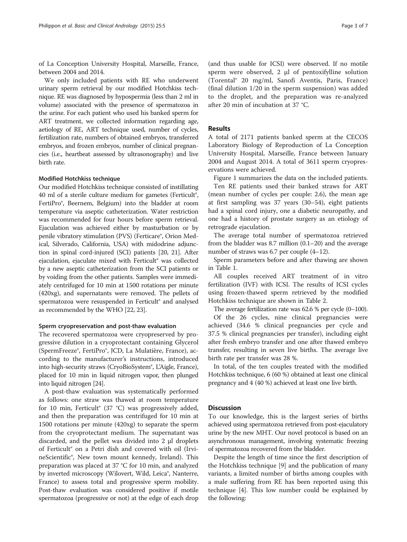of La Conception University Hospital, Marseille, France, between 2004 and 2014.

We only included patients with RE who underwent urinary sperm retrieval by our modified Hotchkiss technique. RE was diagnosed by hypospermia (less than 2 ml in volume) associated with the presence of spermatozoa in the urine. For each patient who used his banked sperm for ART treatment, we collected information regarding age, aetiology of RE, ART technique used, number of cycles, fertilization rate, numbers of obtained embryos, transferred embryos, and frozen embryos, number of clinical pregnancies (i.e., heartbeat assessed by ultrasonography) and live birth rate.

#### Modified Hotchkiss technique

Our modified Hotchkiss technique consisted of instillating 40 ml of a sterile culture medium for gametes (Ferticult<sup>®</sup>, FertiPro®, Beernem, Belgium) into the bladder at room temperature via aseptic catheterization. Water restriction was recommended for four hours before sperm retrieval. Ejaculation was achieved either by masturbation or by penile vibratory stimulation (PVS) (Ferticare®, Orion Medical, Silverado, California, USA) with midodrine adjunction in spinal cord-injured (SCI) patients [[20](#page-6-0), [21](#page-6-0)]. After ejaculation, ejaculate mixed with Ferticult® was collected by a new aseptic catheterization from the SCI patients or by voiding from the other patients. Samples were immediately centrifuged for 10 min at 1500 rotations per minute (420xg), and supernatants were removed. The pellets of spermatozoa were resuspended in Ferticult® and analysed as recommended by the WHO [[22](#page-6-0), [23\]](#page-6-0).

#### Sperm cryopreservation and post-thaw evaluation

The recovered spermatozoa were cryopreserved by progressive dilution in a cryoprotectant containing Glycerol (SpermFreeze®, FertiPro®, JCD, La Mulatière, France), according to the manufacturer's instructions, introduced into high-security straws (CryoBioSystem®, L'Aigle, France), placed for 10 min in liquid nitrogen vapor, then plunged into liquid nitrogen [\[24\]](#page-6-0).

A post-thaw evaluation was systematically performed as follows: one straw was thawed at room temperature for 10 min, Ferticult® (37 °C) was progressively added, and then the preparation was centrifuged for 10 min at 1500 rotations per minute (420xg) to separate the sperm from the cryoprotectant medium. The supernatant was discarded, and the pellet was divided into 2 μl droplets of Ferticult® on a Petri dish and covered with oil (IrvineScientific®, New town mount kennedy, Ireland). This preparation was placed at 37 °C for 10 min, and analyzed by inverted microscopy (Wilovert, Wild, Leica®, Nanterre, France) to assess total and progressive sperm mobility. Post-thaw evaluation was considered positive if motile spermatozoa (progressive or not) at the edge of each drop

(and thus usable for ICSI) were observed. If no motile sperm were observed, 2 μl of pentoxifylline solution (Torental® 20 mg/ml, Sanofi Aventis, Paris, France) (final dilution 1/20 in the sperm suspension) was added to the droplet, and the preparation was re-analyzed after 20 min of incubation at 37 °C.

# **Results**

A total of 2171 patients banked sperm at the CECOS Laboratory Biology of Reproduction of La Conception University Hospital, Marseille, France between January 2004 and August 2014. A total of 3611 sperm cryopreservations were achieved.

Figure [1](#page-3-0) summarizes the data on the included patients. Ten RE patients used their banked straws for ART (mean number of cycles per couple: 2.6), the mean age at first sampling was 37 years (30–54), eight patients had a spinal cord injury, one a diabetic neuropathy, and one had a history of prostate surgery as an etiology of retrograde ejaculation.

The average total number of spermatozoa retrieved from the bladder was 8.7 million (0.1–20) and the average number of straws was 6.7 per couple (4–12).

Sperm parameters before and after thawing are shown in Table [1.](#page-4-0)

All couples received ART treatment of in vitro fertilization (IVF) with ICSI. The results of ICSI cycles using frozen-thawed sperm retrieved by the modified Hotchkiss technique are shown in Table [2](#page-4-0).

The average fertilization rate was 62.6 % per cycle (0–100). Of the 26 cycles, nine clinical pregnancies were achieved (34.6 % clinical pregnancies per cycle and 37.5 % clinical pregnancies per transfer), including eight after fresh embryo transfer and one after thawed embryo transfer, resulting in seven live births. The average live birth rate per transfer was 28 %.

In total, of the ten couples treated with the modified Hotchkiss technique, 6 (60 %) obtained at least one clinical pregnancy and 4 (40 %) achieved at least one live birth.

### **Discussion**

To our knowledge, this is the largest series of births achieved using spermatozoa retrieved from post-ejaculatory urine by the new MHT. Our novel protocol is based on an asynchronous management, involving systematic freezing of spermatozoa recovered from the bladder.

Despite the length of time since the first description of the Hotchkiss technique [[9\]](#page-5-0) and the publication of many variants, a limited number of births among couples with a male suffering from RE has been reported using this technique [[4](#page-5-0)]. This low number could be explained by the following: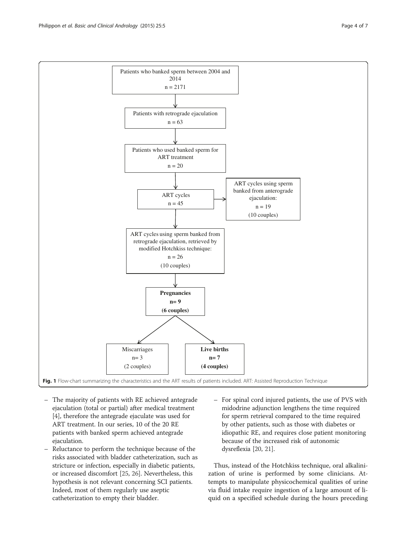<span id="page-3-0"></span>

- The majority of patients with RE achieved antegrade ejaculation (total or partial) after medical treatment [[4\]](#page-5-0), therefore the antegrade ejaculate was used for ART treatment. In our series, 10 of the 20 RE patients with banked sperm achieved antegrade ejaculation.
- Reluctance to perform the technique because of the risks associated with bladder catheterization, such as stricture or infection, especially in diabetic patients, or increased discomfort [\[25,](#page-6-0) [26\]](#page-6-0). Nevertheless, this hypothesis is not relevant concerning SCI patients. Indeed, most of them regularly use aseptic catheterization to empty their bladder.
- For spinal cord injured patients, the use of PVS with midodrine adjunction lengthens the time required for sperm retrieval compared to the time required by other patients, such as those with diabetes or idiopathic RE, and requires close patient monitoring because of the increased risk of autonomic dysreflexia [[20,](#page-6-0) [21](#page-6-0)].

Thus, instead of the Hotchkiss technique, oral alkalinization of urine is performed by some clinicians. Attempts to manipulate physicochemical qualities of urine via fluid intake require ingestion of a large amount of liquid on a specified schedule during the hours preceding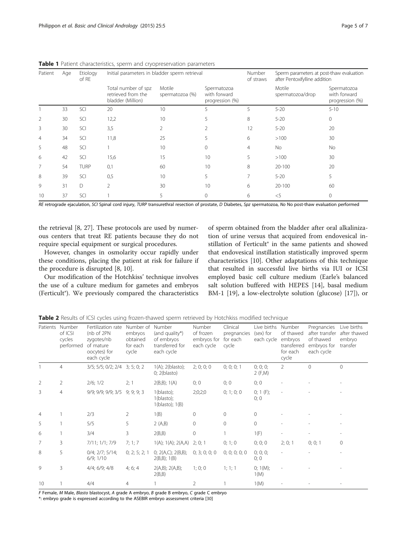| Patient        | Age | Etiology<br>of RE | Initial parameters in bladder sperm retrieval                  |                           |                                                | Number<br>of straws | Sperm parameters at post-thaw evaluation<br>after Pentoxifylline addition |                                                |
|----------------|-----|-------------------|----------------------------------------------------------------|---------------------------|------------------------------------------------|---------------------|---------------------------------------------------------------------------|------------------------------------------------|
|                |     |                   | Total number of spz<br>retrieved from the<br>bladder (Million) | Motile<br>spermatozoa (%) | Spermatozoa<br>with forward<br>progression (%) |                     | Motile<br>spermatozoa/drop                                                | Spermatozoa<br>with forward<br>progression (%) |
|                | 33  | SCI               | 20                                                             | 10                        | 5                                              | 5                   | $5 - 20$                                                                  | $5 - 10$                                       |
| $\overline{2}$ | 30  | SCI               | 12,2                                                           | 10                        | 5                                              | 8                   | $5 - 20$                                                                  | $\mathbf{0}$                                   |
| 3              | 30  | SCI               | 3,5                                                            | 2                         | $\mathcal{P}$                                  | 12                  | $5 - 20$                                                                  | 20                                             |
| $\overline{4}$ | 34  | SCI               | 11,8                                                           | 25                        | 5                                              | 6                   | >100                                                                      | 30                                             |
| 5              | 48  | SCI               |                                                                | 10                        | $\Omega$                                       | 4                   | No                                                                        | No                                             |
| 6              | 42  | SCI               | 15,6                                                           | 15                        | 10                                             | 5                   | >100                                                                      | 30                                             |
| 7              | 54  | <b>TURP</b>       | 0,1                                                            | 60                        | 10                                             | 8                   | $20 - 100$                                                                | 20                                             |
| 8              | 39  | SCI               | 0,5                                                            | 10                        | 5                                              |                     | $5 - 20$                                                                  | 5                                              |
| 9              | 31  | $\Box$            | $\overline{2}$                                                 | 30                        | 10                                             | 6                   | 20-100                                                                    | 60                                             |
| 10             | 37  | SCI               |                                                                |                           | 0                                              | 6                   | $<$ 5                                                                     | $\Omega$                                       |

<span id="page-4-0"></span>Table 1 Patient characteristics, sperm and cryopreservation parameters

RE retrograde ejaculation, SCI Spinal cord injury, TURP transurethral resection of prostate, D Diabetes, Spz spermatozoa, No No post-thaw evaluation performed

the retrieval [[8](#page-5-0), [27\]](#page-6-0). These protocols are used by numerous centers that treat RE patients because they do not require special equipment or surgical procedures.

However, changes in osmolarity occur rapidly under these conditions, placing the patient at risk for failure if the procedure is disrupted [[8, 10\]](#page-5-0).

Our modification of the Hotchkiss' technique involves the use of a culture medium for gametes and embryos (Ferticult®). We previously compared the characteristics

of sperm obtained from the bladder after oral alkalinization of urine versus that acquired from endovesical instillation of Ferticult<sup>®</sup> in the same patients and showed that endovesical instillation statistically improved sperm characteristics [[10\]](#page-5-0). Other adaptations of this technique that resulted in successful live births via IUI or ICSI employed basic cell culture medium (Earle's balanced salt solution buffered with HEPES [[14\]](#page-5-0), basal medium BM-1 [\[19\]](#page-6-0), a low-electrolyte solution (glucose) [[17](#page-5-0)]), or

**Table 2** Results of ICSI cycles using frozen-thawed sperm retrieved by Hotchkiss modified technique

| Patients       | Number<br>of ICSI<br>cycles<br>performed | Fertilization rate<br>(nb of 2PN<br>zygotes/nb<br>of mature<br>oocytes) for<br>each cycle | Number of Number<br>embryos<br>obtained<br>for each<br>cycle | (and quality*)<br>of embryos<br>transferred for<br>each cycle | Number<br>of frozen<br>embryos for<br>each cycle | Clinical<br>pregnancies<br>for each<br>cycle | Live births<br>(sex) for<br>each cycle | Number<br>of thawed<br>embryos<br>transferred<br>for each<br>cycle | Pregnancies<br>after transfer<br>of thawed<br>embryos for<br>each cycle | Live births<br>after thawed<br>embryo<br>transfer |
|----------------|------------------------------------------|-------------------------------------------------------------------------------------------|--------------------------------------------------------------|---------------------------------------------------------------|--------------------------------------------------|----------------------------------------------|----------------------------------------|--------------------------------------------------------------------|-------------------------------------------------------------------------|---------------------------------------------------|
|                | $\overline{4}$                           | 3/5; 5/5; 0/2; 2/4                                                                        | 3; 5; 0; 2                                                   | $1(A)$ ; $2(blasto)$ ;<br>0; 2(blasto)                        | 2; 0; 0; 0                                       | 0; 0; 0; 1                                   | 0; 0; 0;<br>2 (F,M)                    | $\overline{2}$                                                     | $\Omega$                                                                | $\overline{0}$                                    |
| 2              | 2                                        | 2/6; 1/2                                                                                  | 2; 1                                                         | 2(B,B); 1(A)                                                  | 0;0                                              | 0;0                                          | 0;0                                    |                                                                    |                                                                         |                                                   |
| 3              | $\overline{4}$                           | 9/9; 9/9; 9/9; 3/5                                                                        | 9; 9; 9; 3                                                   | 1(blasto);<br>$1(blasto)$ ;<br>1(blasto); 1(B)                | 2;0;2;0                                          | 0; 1; 0; 0                                   | 0; 1 (F);<br>0;0                       |                                                                    |                                                                         |                                                   |
| $\overline{4}$ |                                          | 2/3                                                                                       | 2                                                            | 1(B)                                                          | $\mathbf{0}$                                     | $\mathbf 0$                                  | $\circ$                                |                                                                    |                                                                         |                                                   |
| 5              |                                          | 5/5                                                                                       | 5                                                            | 2(A,B)                                                        | $\mathbf{0}$                                     | $\mathbf{0}$                                 | $\circ$                                |                                                                    |                                                                         |                                                   |
| 6              |                                          | 3/4                                                                                       | 3                                                            | 2(B,B)                                                        | $\mathbf{0}$                                     | 1                                            | 1(F)                                   |                                                                    |                                                                         |                                                   |
| 7              | 3                                        | 7/11; 1/1; 7/9                                                                            | 7; 1; 7                                                      | 1(A); 1(A); 2(A,A)                                            | 2; 0; 1                                          | 0; 1; 0                                      | 0; 0; 0                                | 2; 0; 1                                                            | 0; 0; 1                                                                 | $\mathbf{0}$                                      |
| 8              | 5                                        | $0/4$ ; $2/7$ ; $5/14$ ;<br>6/9; 1/10                                                     | 0; 2; 5; 2; 1                                                | 0; $2(A,C)$ ; $2(B,B)$ ;<br>2(B,B); 1(B)                      | 0; 3; 0; 0; 0                                    | 0; 0; 0; 0; 0; 0                             | 0; 0; 0;<br>0;0                        |                                                                    |                                                                         |                                                   |
| 9              | 3                                        | $4/4$ ; $6/9$ ; $4/8$                                                                     | 4; 6; 4                                                      | 2(A,B); 2(A,B);<br>2(B,B)                                     | 1;0;0                                            | 1; 1; 1                                      | 0; $1(M)$ ;<br>1(M)                    |                                                                    |                                                                         |                                                   |
| 10             |                                          | 4/4                                                                                       | 4                                                            |                                                               | $\overline{2}$                                   |                                              | 1(M)                                   |                                                                    |                                                                         |                                                   |

F Female, M Male, Blasto blastocyst, A grade A embryo, B grade B embryo, C grade C embryo

\*: embryo grade is expressed according to the ASEBIR embryo assessment criteria [[30\]](#page-6-0)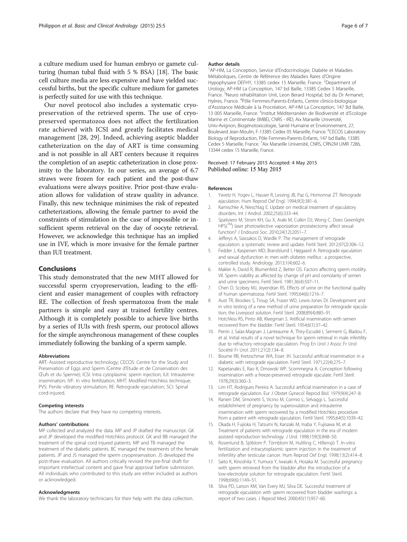<span id="page-5-0"></span>a culture medium used for human embryo or gamete culturing (human tubal fluid with 5 % BSA) [18]. The basic cell culture media are less expensive and have yielded successful births, but the specific culture medium for gametes is perfectly suited for use with this technique.

Our novel protocol also includes a systematic cryopreservation of the retrieved sperm. The use of cryopreserved spermatozoa does not affect the fertilization rate achieved with ICSI and greatly facilitates medical management [[28, 29](#page-6-0)]. Indeed, achieving aseptic bladder catheterization on the day of ART is time consuming and is not possible in all ART centers because it requires the completion of an aseptic catheterization in close proximity to the laboratory. In our series, an average of 6.7 straws were frozen for each patient and the post-thaw evaluations were always positive. Prior post-thaw evaluation allows for validation of straw quality in advance. Finally, this new technique minimises the risk of repeated catheterizations, allowing the female partner to avoid the constraints of stimulation in the case of impossible or insufficient sperm retrieval on the day of oocyte retrieval. However, we acknowledge this technique has an implied use in IVF, which is more invasive for the female partner than IUI treatment.

### Conclusions

This study demonstrated that the new MHT allowed for successful sperm cryopreservation, leading to the efficient and easier management of couples with refractory RE. The collection of fresh spermatozoa from the male partners is simple and easy at trained fertility centres. Although it is completely possible to achieve live births by a series of IUIs with fresh sperm, our protocol allows for the simple asynchronous management of these couples immediately following the banking of a sperm sample.

#### Abbreviations

ART: Assisted reproductive technology; CECOS: Centre for the Study and Preservation of Eggs and Sperm (Centre d'Etude et de Conservation des Œufs et du Sperme); ICSI: Intra cytoplasmic sperm injection; IUI: Intrauterine insemination; IVF: In vitro fertilization; MHT: Modified Hotchkiss technique; PVS: Penile vibratory stimulation; RE: Retrograde ejaculation; SCI: Spinal cord-injured.

#### Competing interests

The authors declare that they have no competing interests.

#### Authors' contributions

MP collected and analyzed the data. MP and JP drafted the manuscript. GK and JP developed the modified Hotchkiss protocol. GK and BB managed the treatment of the spinal cord injured patients. MP and TB managed the treatment of the diabetic patients. BC managed the treatments of the female patients. JP and JS managed the sperm cryopreservation. JS developed the post-thaw evaluation. All authors critically revised the pre-final draft for important intellectual content and gave final approval before submission. All individuals who contributed to this study are either included as authors or acknowledged.

#### Acknowledgments

We thank the laboratory technicians for their help with the data collection.

#### Author details

1 AP-HM, La Conception, Service d'Endocrinologie, Diabète et Maladies Métaboliques, Centre de Référence des Maladies Rares d'Origine Hypophysaire DEFHY, 13385 cedex 15 Marseille, France. <sup>2</sup>Department of Urology, AP-HM La Conception, 147 bd Baille, 13385 Cedex 5 Marseille, France.<sup>3</sup>Neuro rehabilitation Unit, Leon Berard Hospital, bd du Dr Armanet, Hyères, France. <sup>4</sup>Pôle Femmes-Parents-Enfants, Centre clinico-biologique d'Assistance Médicale à la Procréation, AP-HM La Conception, 147 Bd Baille, 13 005 Marseille, France. <sup>5</sup>Institut Méditerranéen de Biodiversité et d'Ecologie Marine et Continentale (IMBE), CNRS - IRD, Aix Marseille Université, Univ-Avignon, Biogénotoxicologie, Santé Humaine et Environnement, 27, Boulevard Jean-Moulin, F-13385 Cedex 05 Marseille, France. <sup>6</sup>CECOS Laboratory Biology of Reproduction, Pôle Femmes-Parents-Enfants, 147 bd Baille, 13385 Cedex 5 Marseille, France. <sup>7</sup> Aix Marseille Université, CNRS, CRN2M UMR 7286 13344 cedex 15 Marseille, France.

#### Received: 17 February 2015 Accepted: 4 May 2015 Published online: 15 May 2015

#### References

- 1. Yavetz H, Yogev L, Hauser R, Lessing JB, Paz G, Homonnai ZT. Retrograde ejaculation. Hum Reprod Oxf Engl. 1994;9(3):381–6.
- 2. Kamischke A, Nieschlag E. Update on medical treatment of ejaculatory disorders. Int J Androl. 2002;25(6):333–44.
- 3. Spaliviero M, Strom KH, Gu X, Araki M, Culkin DJ, Wong C. Does Greenlight HPS(™) laser photoselective vaporization prostatectomy affect sexual function? J Endourol Soc. 2010;24(12):2051–7.
- 4. Jefferys A, Siassakos D, Wardle P. The management of retrograde ejaculation: a systematic review and update. Fertil Steril. 2012;97(2):306–12.
- 5. Fedder J, Kaspersen MD, Brandslund I, Højgaard A. Retrograde ejaculation and sexual dysfunction in men with diabetes mellitus : a prospective, controlled study. Andrology. 2013;1(4):602–6.
- 6. Makler A, David R, Blumenfeld Z, Better OS. Factors affecting sperm motility. VII. Sperm viability as affected by change of pH and osmolarity of semen and urine specimens. Fertil Steril. 1981;36(4):507–11.
- 7. Chen D, Scobey MJ, Jeyendran RS. Effects of urine on the functional quality of human spermatozoa. Fertil Steril. 1995;64(6):1216–7.
- 8. Aust TR, Brookes S, Troup SA, Fraser WD, Lewis-Jones DI. Development and in vitro testing of a new method of urine preparation for retrograde ejaculation; the Liverpool solution. Fertil Steril. 2008;89(4):885–91.
- 9. Hotchkiss RS, Pinto AB, Kleegman S. Artificial insemination with semen recovered from the bladder. Fertil Steril. 1954;6(1):37–42.
- 10. Perrin J, Saïas-Magnan J, Lanteaume A, Thiry-Escudié I, Serment G, Bladou F, et al. Initial results of a novel technique for sperm retrieval in male infertility due to refractory retrograde ejaculation. Prog En Urol J Assoc Fr Urol Société Fr Urol. 2011;21(2):134–8.
- 11. Bourne RB, Kretzschmar WA, Esser JH. Successful artificial insemination in a diabetic with retrograde ejaculation. Fertil Steril. 1971;22(4):275–7.
- 12. Kapetanakis E, Rao R, Dmowski WP, Scommegna A. Conception following insemination with a freeze-preserved retrograde ejaculate. Fertil Steril. 1978;29(3):360–3.
- 13. Lim HT, Rodrigues Pereira A. Successful artificial insemination in a case of retrograde ejaculation. Eur J Obstet Gynecol Reprod Biol. 1979;9(4):247–8.
- 14. Ranieri DM, Simonetti S, Vicino M, Cormio L, Selvaggi L. Successful establishment of pregnancy by superovulation and intrauterine insemination with sperm recovered by a modified Hotchkiss procedure from a patient with retrograde ejaculation. Fertil Steril. 1995;64(5):1039–42.
- 15. Okada H, Fujioka H, Tatsumi N, Kanzaki M, Inaba Y, Fujisawa M, et al. Treatment of patients with retrograde ejaculation in the era of modern assisted reproduction technology. J Urol. 1998;159(3):848–50.
- 16. Rosenlund B, Sjöblom P, Törnblom M, Hultling C, Hillensjö T. In-vitro fertilization and intracytoplasmic sperm injection in the treatment of infertility after testicular cancer. Hum Reprod Oxf Engl. 1998;13(2):414–8.
- 17. Saito K, Kinoshita Y, Yumura Y, Iwasaki A, Hosaka M. Successful pregnancy with sperm retrieved from the bladder after the introduction of a low-electrolyte solution for retrograde ejaculation. Fertil Steril. 1998;69(6):1149–51.
- 18. Silva PD, Larson KM, Van Every MJ, Silva DE. Successful treatment of retrograde ejaculation with sperm recovered from bladder washings: a report of two cases. J Reprod Med. 2000;45(11):957–60.